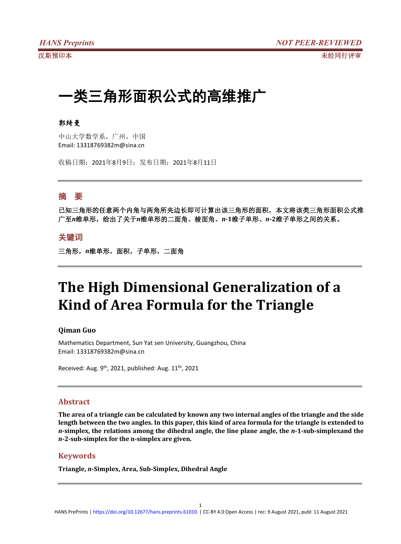# 一类三角形面积公式的高维推广

### 郭绮曼

中山大学数学系,广州,中国 Email: 13318769382m@sina.cn

收稿日期:2021年8月9日;发布日期:2021年8月11日

# 摘 要

已知三角形的任意两个内角与两角所夹边长即可计算出该三角形的面积,本文将该类三角形面积公式推 广至*n*维单形,给出了关于*n*维单形的二面角、棱面角、*n***-1**维子单形、*n***-2**维子单形之间的关系。

## 关键词

三角形,*n*维单形,面积,子单形,二面角

# **The High Dimensional Generalization of a Kind of Area Formula for the Triangle**

#### **Qiman Guo**

Mathematics Department, Sun Yat sen University, Guangzhou, China Email: 13318769382m@sina.cn

Received: Aug. 9<sup>th</sup>, 2021, published: Aug. 11<sup>th</sup>, 2021

### **Abstract**

The area of a triangle can be calculated by known any two internal angles of the triangle and the side length between the two angles. In this paper, this kind of area formula for the triangle is extended to *n***-simplex, the relations among the dihedral angle, the line plane angle, the** *n***-1-sub-simplexand the** *n***-2-sub-simplex for the n-simplex are given.**

### **Keywords**

**Triangle,** *n***-Simplex, Area, Sub-Simplex, Dihedral Angle**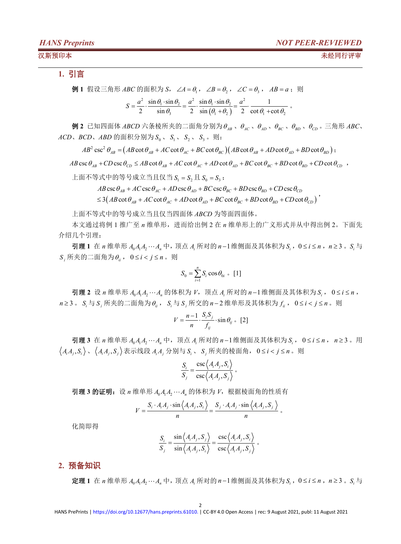#### 汉斯预印本 未经同行评审

### **1.** 引言

例 1 假设三角形 *ABC* 的面积为 *S*,  $\angle A = \theta_1$ ,  $\angle B = \theta_2$ ,  $\angle C = \theta_3$ ,  $AB = a$ ; 则  $(\theta_1 + \theta_2)$  2 cot  $\theta_1$  + cot  $\theta_2$  $\frac{a^2}{2} \cdot \frac{\sin \theta_1 \cdot \sin \theta_2}{\sin \theta_3} = \frac{a^2}{2} \cdot \frac{\sin \theta_1 \cdot \sin \theta_2}{\sin (\theta_1 + \theta_2)} = \frac{a^2}{2} \cdot \frac{1}{\cot \theta_1 + \cot \theta_2}$  $S = \frac{a^2}{2} \cdot \frac{\sin \theta_1 \cdot \sin \theta_2}{\sin \theta_2} = \frac{a^2}{2} \cdot \frac{\sin \theta_1 \cdot \sin \theta_2}{\sin (\theta_1 + \theta_2)} = \frac{a^2}{2} \cdot \frac{1}{\cot \theta_1 + \cot \theta_2}$ 

 $\theta$  2 已知四面体 *ABCD* 六条棱所夹的二面角分别为  $\theta_{AB}$ 、 $\theta_{AC}$ 、 $\theta_{AD}$ 、 $\theta_{BC}$ 、 $\theta_{CD}$ 。三角形 *ABC*、  $ACD$ ,  $BCD$ ,  $ABD$  的面积分别为  $S_0$ ,  $S_1$ ,  $S_2$ ,  $S_3$ , 则:

 $AB^2 \csc^2 \theta_{AB} = (AB \cot \theta_{AB} + AC \cot \theta_{AC} + BC \cot \theta_{BC}) (AB \cot \theta_{AB} + AD \cot \theta_{AD} + BD \cot \theta_{BD})$ ;

 $AB \csc \theta_{AB} + CD \csc \theta_{CD} \le AB \cot \theta_{AB} + AC \cot \theta_{AC} + AD \cot \theta_{AD} + BC \cot \theta_{BC} + BD \cot \theta_{BD} + CD \cot \theta_{CD}$ 

上面不等式中的等号成立当且仅当  $S_1 = S_2$ 且 $S_2 = S_3$ ;

 $\cos\theta_{AB} + AC \csc\theta_{AC} + AD \csc\theta_{AD} + BC \csc\theta_{BC} + BD \csc\theta_{BD} + CD \csc\theta_{CD}$ 

AB csc  $\theta_{AB}$  + AC csc  $\theta_{AC}$  + AD csc  $\theta_{AD}$  + BC csc  $\theta_{BC}$  + BD csc  $\theta_{BD}$  + CD csc  $\theta_{CD}$ <br>  $\leq 3(AB \cot \theta_{AB} + AC \cot \theta_{AC} + AD \cot \theta_{AD} + BC \cot \theta_{BC} + BD \cot \theta_{BD} + CD \cot \theta_{CD})$ 

上面不等式中的等号成立当且仅当四面体 *ABCD* 为等面四面体。

本文通过将例 1 推广至 *n* 维单形,进而给出例 2 在 *n* 维单形上的广义形式并从中得出例 2。下面先 介绍几个引理:

**引理1** 在 *n* 维单形 *A*<sub>0</sub>*A*<sub>1</sub>A<sub>2</sub> ··· A<sub>2</sub> 中, 顶点 A<sub>1</sub> 所对的 *n* −1维侧面及其体积为 S<sub>2</sub>, 0 ≤ *i* ≤ *n*, *n* ≥ 3 。 S<sub>2</sub> 与  $S$ , 所夹的二面角为 $\theta_i$ , 0≤*i* < *j* ≤ *n* 。则

$$
S_0 = \sum_{i=1}^n S_i \cos \theta_{0i} \quad [1]
$$

引理 2 设 *n* 维单形 *A*<sub>0</sub>*A*<sub>1</sub>A<sub>2</sub> ··· A<sub>n</sub> 的体积为 *V*, 顶点 A<sub>i</sub> 所对的 *n*-1维侧面及其体积为 *S*<sub>i</sub>, 0≤*i* ≤ *n*,  $n \geq 3$  。 *S* 与 *S* , 所夹的二面角为  $\theta_i$  , S , 与 *S* , 所交的  $n-2$  维单形及其体积为  $f_i$  , 0 ≤  $i$  <  $j$  ≤  $n$  。则

$$
V = \frac{n-1}{n} \cdot \frac{S_i S_j}{f_{ij}} \cdot \sin \theta_{ij} \quad [2]
$$

引理 3 在 *n* 维单形  $A_0A_1A_2...A_n$  中, 顶点  $A_i$  所对的 *n*−1 维侧面及其体积为  $S_i$ , 0 ≤ *i* ≤ *n*, n ≥ 3 。用  $\langle A_iA_j, S_i \rangle$ 、 $\langle A_iA_j, S_j \rangle$ 表示线段 $A_iA_j$ 分别与 $S_i$ 、 $S_j$ 所夹的棱面角,  $0 \le i < j \le n$ 。则

$$
\frac{S_i}{S_j} = \frac{\csc \langle A_i A_j, S_i \rangle}{\csc \langle A_i A_j, S_j \rangle} \circ
$$

引理 3 的证明: 设 n 维单形  $A_0A_1A_2\cdots A_n$  的体积为  $V$ , 根据棱面角的性质有

$$
V = \frac{S_i \cdot A_i A_j \cdot \sin \left\langle A_i A_j, S_i \right\rangle}{n} = \frac{S_j \cdot A_i A_j \cdot \sin \left\langle A_i A_j, S_j \right\rangle}{n}.
$$

化简即得

$$
\frac{S_i}{S_j} = \frac{\sin \left\langle A_i A_j, S_j \right\rangle}{\sin \left\langle A_i A_j, S_i \right\rangle} = \frac{\csc \left\langle A_i A_j, S_i \right\rangle}{\csc \left\langle A_i A_j, S_j \right\rangle}.
$$

### **2.** 预备知识

定理 1 在 *n* 维单形  $A_0A_1A_2\cdots A_n$  中, 顶点  $A_i$  所对的 *n*−1 维侧面及其体积为  $S_i$ , 0 ≤  $i$  ≤  $n$ , n ≥ 3 。  $S_i$  与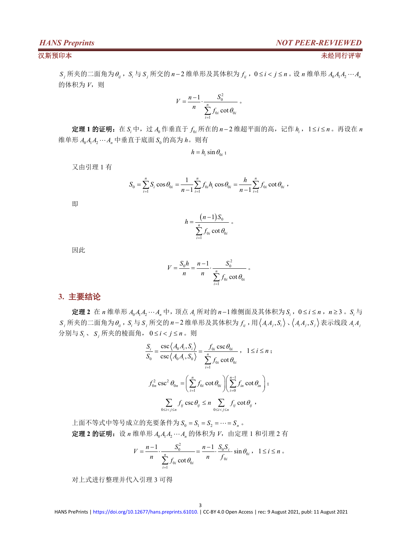$\overline{\phantom{a}}$ 

*S*<sub>*i*</sub> 所夹的二面角为 $\theta_i$ ,  $S_i$ 与 $S_j$  所交的 *n*−2 维单形及其体积为 $f_i$ , 0≤ $i$ < $j$ ≤n 。设 *n* 维单形  $A_0A_1A_2\cdots A_n$ 的体积为 *V*,则

$$
V = \frac{n-1}{n} \cdot \frac{S_0^2}{\sum_{i=1}^n f_{0i} \cot \theta_{0i}} \, .
$$

定理1的证明: 在  $S_i$ 中, 过  $A_0$ 作垂直于  $f_{0i}$  所在的  $n-2$  维超平面的高, 记作  $h_i$ , 1≤ i≤  $n$ 。再设在  $n$ 维单形  $A_0A_1A_2\cdots A_n$  中垂直于底面  $S_0$  的高为  $h$ 。则有

 $h = h_i \sin \theta_{0i}$ ;

又由引理 1 有

$$
S_0 = \sum_{i=1}^n S_i \cos \theta_{0i} = \frac{1}{n-1} \sum_{i=1}^n f_{0i} h_i \cos \theta_{0i} = \frac{h}{n-1} \sum_{i=1}^n f_{0i} \cot \theta_{0i} ,
$$

即 医阿尔伯氏试验检尿道 医心包 医心包 医心包 医心包 医心包 医心包的 医心包的

$$
h = \frac{(n-1)S_0}{\sum_{i=1}^n f_{0i} \cot \theta_{0i}} \circ
$$

因此

$$
V = \frac{S_0 h}{n} = \frac{n-1}{n} \cdot \frac{S_0^2}{\sum_{i=1}^n f_{0i} \cot \theta_{0i}}.
$$

#### **3.** 主要结论

定理 2 在 *n* 维单形  $A_0A_1A_2\cdots A_n$  中, 顶点  $A_i$  所对的 *n*−1 维侧面及其体积为  $S_i$ , 0 ≤ *i* ≤ *n*, *n* ≥ 3 。  $S_i$  与  $S_i$ 所夹的二面角为 $\theta_i$ ,  $S_i$ 与 $S_j$ 所交的 n-2维单形及其体积为 $f_i$ , 用 $\langle A_i A_i, S_i \rangle \cdot \langle A_i A_i, S_j \rangle$ 表示线段 $A_i A_j$ 分别与  $S_i$ 、  $S_i$  所夹的棱面角,  $0 \le i < j \le n$ 。则

$$
\frac{S_i}{S_0} = \frac{\csc \langle A_0 A_i, S_i \rangle}{\csc \langle A_0 A_i, S_0 \rangle} = \frac{f_{0i} \csc \theta_{0i}}{\sum_{i=1}^n f_{0i} \cot \theta_{0i}}, \quad 1 \le i \le n ;
$$
\n
$$
f_{0n}^2 \csc^2 \theta_{0n} = \left( \sum_{i=1}^n f_{0i} \cot \theta_{0i} \right) \left( \sum_{i=0}^{n-1} f_{in} \cot \theta_{in} \right);
$$
\n
$$
\sum_{0 \le i < j \le n} f_{ij} \csc \theta_{ij} \le n \sum_{0 \le i < j \le n} f_{ij} \cot \theta_{ij},
$$

上面不等式中等号成立的充要条件为 $S_0 = S_1 = S_2 = \cdots = S_n$ 。 定理 **2** 的证明:设 *n* 维单形 *A*0*A*1*A*<sup>2</sup> *A<sup>n</sup>* 的体积为 *V*,由定理 1 和引理 2 有

$$
V = \frac{n-1}{n} \cdot \frac{S_0^2}{\sum_{i=1}^n f_{0i} \cot \theta_{0i}} = \frac{n-1}{n} \cdot \frac{S_0 S_i}{f_{0i}} \cdot \sin \theta_{0i} , \quad 1 \le i \le n \; .
$$

对上式进行整理并代入引理 3 可得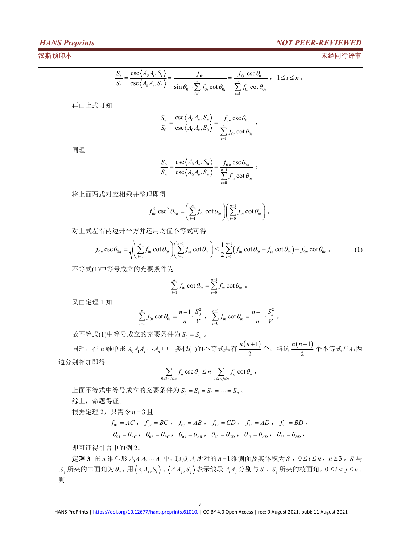### *HANS Preprints NOT PEER-REVIEWED*

#### 汉斯预印本 未经同行评审

$$
\frac{S_i}{S_0} = \frac{\csc \langle A_0 A_i, S_i \rangle}{\csc \langle A_0 A_i, S_0 \rangle} = \frac{f_\alpha}{\sin \theta_{0i} \cdot \sum_{i=1}^n f_{0i} \cot \theta_{0i}} = \frac{f_\alpha \csc \theta_{0i}}{\sum_{i=1}^n f_{0i} \cot \theta_{0i}}, \quad 1 \le i \le n
$$

再由上式可知

$$
\frac{S_n}{S_0} = \frac{\csc \langle A_0 A_n, S_n \rangle}{\csc \langle A_0 A_n, S_0 \rangle} = \frac{f_{0n} \csc \theta_{0n}}{\sum_{i=1}^n f_{0i} \cot \theta_{0i}},
$$

同理 しょうしょう しゅうしょう しゅうしょく

$$
\frac{S_0}{S_n} = \frac{\csc \langle A_0 A_n, S_0 \rangle}{\csc \langle A_0 A_n, S_n \rangle} = \frac{f_{0n} \csc \theta_{0n}}{\sum_{i=0}^{n-1} f_{in} \cot \theta_{in}};
$$

将上面两式对应相乘并整理即得

$$
f_{0n}^2 \csc^2 \theta_{0n} = \left(\sum_{i=1}^n f_{0i} \cot \theta_{0i}\right) \left(\sum_{i=0}^{n-1} f_{in} \cot \theta_{in}\right).
$$

对上式左右两边开平方并运用均值不等式可得

$$
f_{0n} \csc \theta_{0n} = \sqrt{\left(\sum_{i=1}^{n} f_{0i} \cot \theta_{0i}\right) \left(\sum_{i=0}^{n-1} f_{in} \cot \theta_{in}\right)} \le \frac{1}{2} \sum_{i=1}^{n-1} (f_{0i} \cot \theta_{0i} + f_{in} \cot \theta_{in}) + f_{0n} \cot \theta_{0n} .
$$
 (1)

不等式(1)中等号成立的充要条件为

$$
\sum_{i=1}^{n} f_{0i} \cot \theta_{0i} = \sum_{i=0}^{n-1} f_{in} \cot \theta_{in} \circ
$$

又由定理 1 知

$$
\sum_{i=1}^n f_{0i} \cot \theta_{0i} = \frac{n-1}{n} \cdot \frac{S_0^2}{V} , \quad \sum_{i=0}^{n-1} f_{in} \cot \theta_{in} = \frac{n-1}{n} \cdot \frac{S_n^2}{V} ,
$$

故不等式 $(1)$ 中等号成立的充要条件为 $S_0 = S_n$ 。

同理, 在 *n* 维单形 *A*<sub>0</sub>*A*<sub>1</sub>*A*<sub>2</sub> … *A*<sub>n</sub> 中, 类似(1)的不等式共有  $\frac{n(n+1)}{2}$ 个, 将这  $\frac{n(n+1)}{2}$ 个不等式左右两 2 2  $2$ n(n+1) 个, 将这 n(n+1) 个不等式左右两 2  $\cdots$   $\cdots$ *<sup>n</sup> <sup>n</sup>* 个不等式左右两 边分别相加即得

$$
\sum_{0 \le i < j \le n} f_{ij} \csc \theta_{ij} \le n \sum_{0 \le i < j \le n} f_{ij} \cot \theta_{ij} ,
$$

上面不等式中等号成立的充要条件为 $S_0 = S_1 = S_2 = \cdots = S_n$ 。 综上,命题得证。

根据定理 2, 只需令  $n = 3$  且

$$
f_{01} = AC
$$
,  $f_{02} = BC$ ,  $f_{03} = AB$ ,  $f_{12} = CD$ ,  $f_{13} = AD$ ,  $f_{23} = BD$ ,  
\n $\theta_{01} = \theta_{AC}$ ,  $\theta_{02} = \theta_{BC}$ ,  $\theta_{03} = \theta_{AB}$ ,  $\theta_{12} = \theta_{CD}$ ,  $\theta_{13} = \theta_{AD}$ ,  $\theta_{23} = \theta_{BD}$ ,

即可证得引言中的例 2。

**定理 3** 在 *n* 维单形  $A_0A_1A_2\cdots A_n$  中, 顶点  $A_i$  所对的 *n*−1 维侧面及其体积为  $S_i$ , 0 ≤ *i* ≤ *n*, *n* ≥ 3 。  $S_i$  与  $S_i$ 所夹的二面角为 $\theta_i$ ,用 $\langle A_iA_j, S_i \rangle$ , $\langle A_iA_j, S_j \rangle$ 表示线段 $A_iA_j$ 分别与 $S_i$ ,  $S_j$ 所夹的棱面角,  $0 \le i < j \le n$ . 则